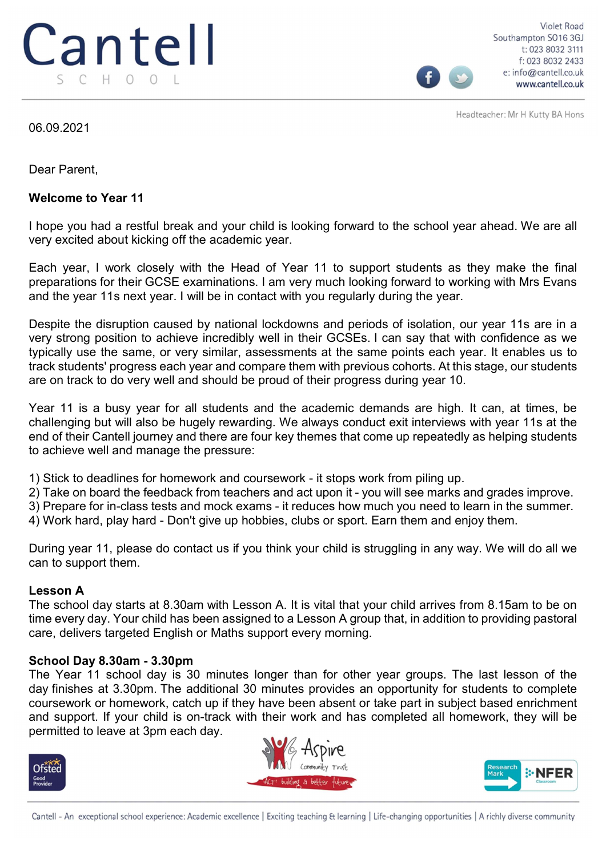

Violet Road Southampton SO16 3GJ t: 023 8032 3111 f: 023 8032 2433 e: info@cantell.co.uk www.cantell.co.uk

Headteacher: Mr H Kutty BA Hons

06.09.2021

Dear Parent,

### Welcome to Year 11

I hope you had a restful break and your child is looking forward to the school year ahead. We are all very excited about kicking off the academic year.

Each year, I work closely with the Head of Year 11 to support students as they make the final preparations for their GCSE examinations. I am very much looking forward to working with Mrs Evans and the year 11s next year. I will be in contact with you regularly during the year.

Despite the disruption caused by national lockdowns and periods of isolation, our year 11s are in a very strong position to achieve incredibly well in their GCSEs. I can say that with confidence as we typically use the same, or very similar, assessments at the same points each year. It enables us to track students' progress each year and compare them with previous cohorts. At this stage, our students are on track to do very well and should be proud of their progress during year 10.

Year 11 is a busy year for all students and the academic demands are high. It can, at times, be challenging but will also be hugely rewarding. We always conduct exit interviews with year 11s at the end of their Cantell journey and there are four key themes that come up repeatedly as helping students to achieve well and manage the pressure:

1) Stick to deadlines for homework and coursework - it stops work from piling up.

2) Take on board the feedback from teachers and act upon it - you will see marks and grades improve.

3) Prepare for in-class tests and mock exams - it reduces how much you need to learn in the summer.

4) Work hard, play hard - Don't give up hobbies, clubs or sport. Earn them and enjoy them.

During year 11, please do contact us if you think your child is struggling in any way. We will do all we can to support them.

## Lesson A

The school day starts at 8.30am with Lesson A. It is vital that your child arrives from 8.15am to be on time every day. Your child has been assigned to a Lesson A group that, in addition to providing pastoral care, delivers targeted English or Maths support every morning.

## School Day 8.30am - 3.30pm

The Year 11 school day is 30 minutes longer than for other year groups. The last lesson of the day finishes at 3.30pm. The additional 30 minutes provides an opportunity for students to complete coursework or homework, catch up if they have been absent or take part in subject based enrichment and support. If your child is on-track with their work and has completed all homework, they will be permitted to leave at 3pm each day.







Cantell - An exceptional school experience: Academic excellence | Exciting teaching & learning | Life-changing opportunities | A richly diverse community